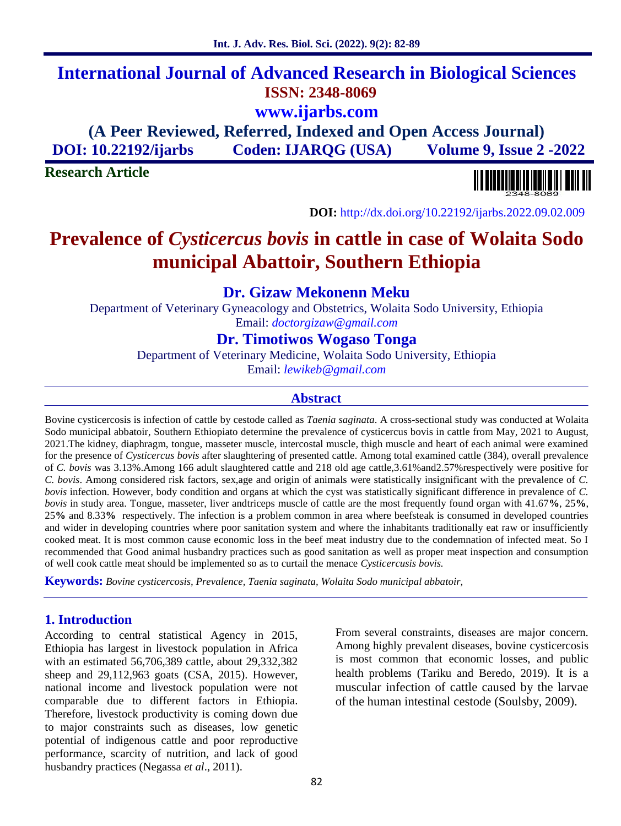# **International Journal of Advanced Research in Biological Sciences ISSN: 2348-8069 www.ijarbs.com**

**(A Peer Reviewed, Referred, Indexed and Open Access Journal) DOI: 10.22192/ijarbs Coden: IJARQG (USA) Volume 9, Issue 2 -2022**

**Research Article**



**DOI:** http://dx.doi.org/10.22192/ijarbs.2022.09.02.009

# **Prevalence of** *Cysticercus bovis* **in cattle in case of Wolaita Sodo municipal Abattoir, Southern Ethiopia**

**Dr. Gizaw Mekonenn Meku**

Department of Veterinary Gyneacology and Obstetrics, Wolaita Sodo University, Ethiopia Email: *doctorgizaw@gmail.com*

**Dr. Timotiwos Wogaso Tonga**

Department of Veterinary Medicine, Wolaita Sodo University, Ethiopia

Email: *lewikeb@gmail.com*

#### **Abstract**

Bovine cysticercosis is infection of cattle by cestode called as *Taenia saginata*. A cross-sectional study was conducted at Wolaita Sodo municipal abbatoir, Southern Ethiopiato determine the prevalence of cysticercus bovis in cattle from May, 2021 to August, 2021.The kidney, diaphragm, tongue, masseter muscle, intercostal muscle, thigh muscle and heart of each animal were examined for the presence of *Cysticercus bovis* after slaughtering of presented cattle. Among total examined cattle (384), overall prevalence of *C. bovis* was 3.13%.Among 166 adult slaughtered cattle and 218 old age cattle,3.61%and2.57%respectively were positive for *C. bovis*. Among considered risk factors, sex,age and origin of animals were statistically insignificant with the prevalence of *C. bovis* infection. However, body condition and organs at which the cyst was statistically significant difference in prevalence of *C. bovis* in study area. Tongue, masseter, liver andtriceps muscle of cattle are the most frequently found organ with 41.67**%**, 25**%**, 25**%** and 8.33**%** respectively. The infection is a problem common in area where beefsteak is consumed in developed countries and wider in developing countries where poor sanitation system and where the inhabitants traditionally eat raw or insufficiently cooked meat. It is most common cause economic loss in the beef meat industry due to the condemnation of infected meat. So I recommended that Good animal husbandry practices such as good sanitation as well as proper meat inspection and consumption of well cook cattle meat should be implemented so as to curtail the menace *Cysticercusis bovis.*

**Keywords:** *Bovine cysticercosis, Prevalence, Taenia saginata, Wolaita Sodo municipal abbatoir,*

#### **1. Introduction**

According to central statistical Agency in 2015, Ethiopia has largest in livestock population in Africa with an estimated 56,706,389 cattle, about 29,332,382 sheep and 29,112,963 goats (CSA, 2015). However, national income and livestock population were not comparable due to different factors in Ethiopia. Therefore, livestock productivity is coming down due to major constraints such as diseases, low genetic potential of indigenous cattle and poor reproductive performance, scarcity of nutrition, and lack of good husbandry practices (Negassa *et al*., 2011).

From several constraints, diseases are major concern. Among highly prevalent diseases, bovine cysticercosis is most common that economic losses, and public health problems (Tariku and Beredo, 2019). It is a muscular infection of cattle caused by the larvae of the human intestinal cestode (Soulsby, 2009).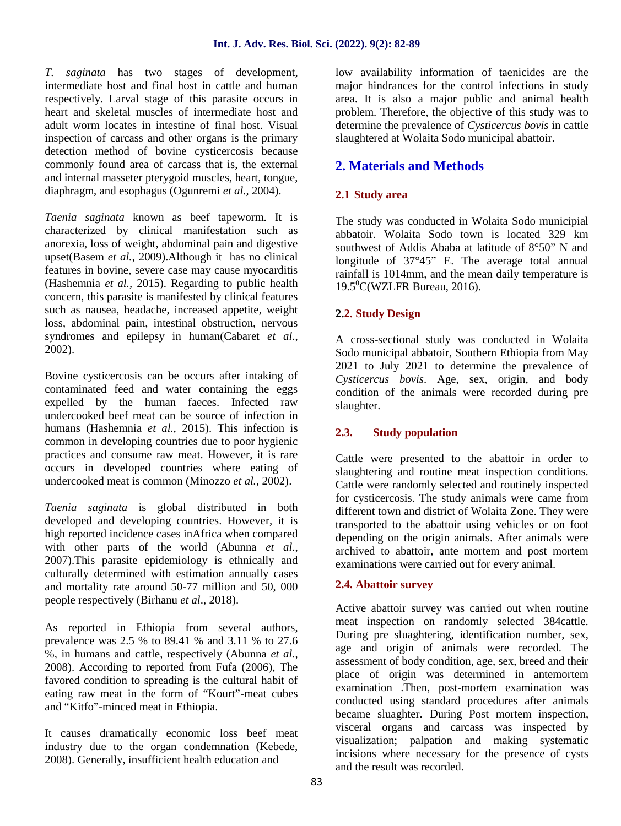*T. saginata* has two stages of development, intermediate host and final host in cattle and human respectively. Larval stage of this parasite occurs in heart and skeletal muscles of intermediate host and adult worm locates in intestine of final host. Visual inspection of carcass and other organs is the primary detection method of bovine cysticercosis because commonly found area of carcass that is, the external and internal masseter pterygoid muscles, heart, tongue, diaphragm, and esophagus (Ogunremi *et al.,* 2004).

*Taenia saginata* known as beef tapeworm. It is characterized by clinical manifestation such as anorexia, loss of weight, abdominal pain and digestive upset(Basem *et al.,* 2009).Although it has no clinical features in bovine, severe case may cause myocarditis (Hashemnia *et al.,* 2015). Regarding to public health concern, this parasite is manifested by clinical features such as nausea, headache, increased appetite, weight loss, abdominal pain, intestinal obstruction, nervous syndromes and epilepsy in human(Cabaret *et al*., 2002).

Bovine cysticercosis can be occurs after intaking of contaminated feed and water containing the eggs expelled by the human faeces. Infected raw undercooked beef meat can be source of infection in humans (Hashemnia *et al.,* 2015). This infection is common in developing countries due to poor hygienic practices and consume raw meat. However, it is rare occurs in developed countries where eating of undercooked meat is common (Minozzo *et al.,* 2002).

*Taenia saginata* is global distributed in both developed and developing countries. However, it is high reported incidence cases inAfrica when compared with other parts of the world (Abunna *et al*., 2007).This parasite epidemiology is ethnically and culturally determined with estimation annually cases and mortality rate around 50-77 million and 50, 000 people respectively (Birhanu *et al*., 2018).

As reported in Ethiopia from several authors, prevalence was 2.5 % to 89.41 % and 3.11 % to 27.6 %, in humans and cattle, respectively (Abunna *et al*., 2008). According to reported from Fufa (2006), The favored condition to spreading is the cultural habit of eating raw meat in the form of "Kourt"-meat cubes and "Kitfo"-minced meat in Ethiopia.

It causes dramatically economic loss beef meat industry due to the organ condemnation (Kebede, 2008). Generally, insufficient health education and

low availability information of taenicides are the major hindrances for the control infections in study area. It is also a major public and animal health problem. Therefore, the objective of this study was to determine the prevalence of *Cysticercus bovis* in cattle slaughtered at Wolaita Sodo municipal abattoir.

## **2. Materials and Methods**

### **2.1 Study area**

The study was conducted in Wolaita Sodo municipial abbatoir. Wolaita Sodo town is located 329 km southwest of Addis Ababa at latitude of 8°50" N and longitude of 37°45" E. The average total annual rainfall is 1014mm, and the mean daily temperature is  $19.5^0$ C(WZLFR Bureau, 2016).

#### **2.2. Study Design**

A cross-sectional study was conducted in Wolaita Sodo municipal abbatoir, Southern Ethiopia from May 2021 to July 2021 to determine the prevalence of *Cysticercus bovis*. Age, sex, origin, and body condition of the animals were recorded during pre slaughter.

#### **2.3. Study population**

Cattle were presented to the abattoir in order to slaughtering and routine meat inspection conditions. Cattle were randomly selected and routinely inspected for cysticercosis. The study animals were came from different town and district of Wolaita Zone. They were transported to the abattoir using vehicles or on foot depending on the origin animals. After animals were archived to abattoir, ante mortem and post mortem examinations were carried out for every animal.

#### **2.4. Abattoir survey**

Active abattoir survey was carried out when routine meat inspection on randomly selected 384cattle. During pre sluaghtering, identification number, sex, age and origin of animals were recorded. The assessment of body condition, age, sex, breed and their place of origin was determined in antemortem examination .Then, post-mortem examination was conducted using standard procedures after animals became sluaghter. During Post mortem inspection, visceral organs and carcass was inspected by visualization; palpation and making systematic incisions where necessary for the presence of cysts and the result was recorded.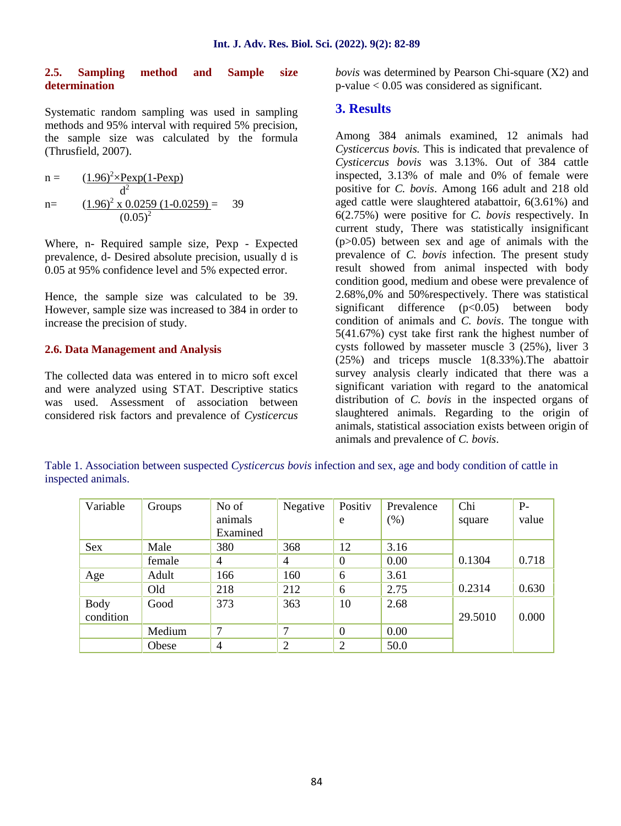#### **2.5. Sampling method and Sample size determination**

Systematic random sampling was used in sampling methods and 95% interval with required 5% precision, the sample size was calculated by the formula (Thrusfield, 2007).

n = 
$$
\frac{(1.96)^{2} \times \text{Pexp}(1 - \text{Pexp})}{d^{2}}
$$
  
n= 
$$
\frac{(1.96)^{2} \times 0.0259 (1 - 0.0259)}{(0.05)^{2}}
$$
 39

Where, n- Required sample size, Pexp - Expected prevalence, d- Desired absolute precision, usually d is 0.05 at 95% confidence level and 5% expected error.

Hence, the sample size was calculated to be 39. However, sample size was increased to 384 in order to increase the precision of study.

#### **2.6. Data Management and Analysis**

The collected data was entered in to micro soft excel and were analyzed using STAT. Descriptive statics was used. Assessment of association between considered risk factors and prevalence of *Cysticercus* *bovis* was determined by Pearson Chi-square (X2) and p-value < 0.05 was considered as significant.

#### **3. Results**

Among 384 animals examined, 12 animals had *Cysticercus bovis.* This is indicated that prevalence of *Cysticercus bovis* was 3.13%. Out of 384 cattle inspected, 3.13% of male and 0% of female were positive for *C. bovis*. Among 166 adult and 218 old aged cattle were slaughtered atabattoir, 6(3.61%) and 6(2.75%) were positive for *C. bovis* respectively. In current study, There was statistically insignificant  $(p>0.05)$  between sex and age of animals with the prevalence of *C. bovis* infection. The present study result showed from animal inspected with body condition good, medium and obese were prevalence of 2.68%,0% and 50%respectively. There was statistical significant difference  $(p<0.05)$  between body condition of animals and *C. bovis*. The tongue with 5(41.67%) cyst take first rank the highest number of cysts followed by masseter muscle 3 (25%), liver 3 (25%) and triceps muscle 1(8.33%).The abattoir survey analysis clearly indicated that there was a significant variation with regard to the anatomical distribution of *C. bovis* in the inspected organs of slaughtered animals. Regarding to the origin of animals, statistical association exists between origin of animals and prevalence of *C. bovis*.

Table 1. Association between suspected *Cysticercus bovis* infection and sex, age and body condition of cattle in inspected animals.

| Variable    | Groups | No of          | Negative       | Positiv        | Prevalence | Chi     | $P-$  |
|-------------|--------|----------------|----------------|----------------|------------|---------|-------|
|             |        | animals        |                | e              | (% )       | square  | value |
|             |        | Examined       |                |                |            |         |       |
| Sex         | Male   | 380            | 368            | 12             | 3.16       |         |       |
|             | female | $\overline{4}$ | $\overline{4}$ | $\theta$       | 0.00       | 0.1304  | 0.718 |
| Age         | Adult  | 166            | 160            | 6              | 3.61       |         |       |
|             | Old    | 218            | 212            | 6              | 2.75       | 0.2314  | 0.630 |
| <b>Body</b> | Good   | 373            | 363            | 10             | 2.68       |         |       |
| condition   |        |                |                |                |            | 29.5010 | 0.000 |
|             | Medium | 7              | 7              | $\overline{0}$ | 0.00       |         |       |
|             | Obese  | $\overline{4}$ | $\overline{2}$ | $\overline{2}$ | 50.0       |         |       |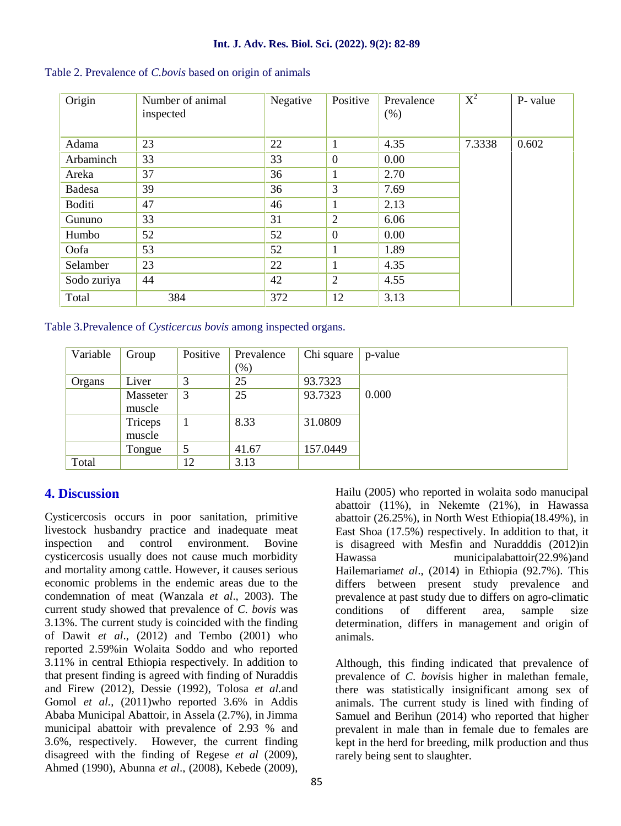| Origin      | Number of animal<br>inspected | Negative | Positive       | Prevalence<br>(% ) | $\overline{X^2}$ | P- value |
|-------------|-------------------------------|----------|----------------|--------------------|------------------|----------|
| Adama       | 23                            | 22       | 1              | 4.35               | 7.3338           | 0.602    |
| Arbaminch   | 33                            | 33       | $\overline{0}$ | 0.00               |                  |          |
| Areka       | 37                            | 36       | 1              | 2.70               |                  |          |
| Badesa      | 39                            | 36       | 3              | 7.69               |                  |          |
| Boditi      | 47                            | 46       | 1              | 2.13               |                  |          |
| Gununo      | 33                            | 31       | $\overline{2}$ | 6.06               |                  |          |
| Humbo       | 52                            | 52       | $\overline{0}$ | 0.00               |                  |          |
| Oofa        | 53                            | 52       | 1              | 1.89               |                  |          |
| Selamber    | 23                            | 22       | 1              | 4.35               |                  |          |
| Sodo zuriya | 44                            | 42       | $\overline{2}$ | 4.55               |                  |          |
| Total       | 384                           | 372      | 12             | 3.13               |                  |          |

Table 2. Prevalence of *C.bovis* based on origin of animals

Table 3.Prevalence of *Cysticercus bovis* among inspected organs.

| Variable | Group    | Positive | Prevalence | Chi square | p-value |
|----------|----------|----------|------------|------------|---------|
|          |          |          | $(\% )$    |            |         |
| Organs   | Liver    | 3        | 25         | 93.7323    |         |
|          | Masseter | 3        | 25         | 93.7323    | 0.000   |
|          | muscle   |          |            |            |         |
|          | Triceps  |          | 8.33       | 31.0809    |         |
|          | muscle   |          |            |            |         |
|          | Tongue   | 5        | 41.67      | 157.0449   |         |
| Total    |          | 12       | 3.13       |            |         |

## **4. Discussion**

Cysticercosis occurs in poor sanitation, primitive livestock husbandry practice and inadequate meat inspection and control environment. Bovine cysticercosis usually does not cause much morbidity and mortality among cattle. However, it causes serious economic problems in the endemic areas due to the condemnation of meat (Wanzala *et al*., 2003). The current study showed that prevalence of *C. bovis* was 3.13%. The current study is coincided with the finding of Dawit *et al*., (2012) and Tembo (2001) who reported 2.59%in Wolaita Soddo and who reported 3.11% in central Ethiopia respectively. In addition to that present finding is agreed with finding of Nuraddis and Firew (2012), Dessie (1992), Tolosa *et al.*and Gomol *et al.*, (2011)who reported 3.6% in Addis Ababa Municipal Abattoir, in Assela (2.7%), in Jimma municipal abattoir with prevalence of 2.93 % and 3.6%, respectively. However, the current finding disagreed with the finding of Regese *et al* (2009), Ahmed (1990), Abunna *et al*., (2008), Kebede (2009),

Hailu (2005) who reported in wolaita sodo manucipal abattoir (11%), in Nekemte (21%), in Hawassa abattoir (26.25%), in North West Ethiopia(18.49%), in East Shoa (17.5%) respectively. In addition to that, it is disagreed with Mesfin and Nuradddis (2012)in municipalabattoir(22.9%)and Hailemariam*et al*., (2014) in Ethiopia (92.7%). This differs between present study prevalence and prevalence at past study due to differs on agro-climatic conditions of different area, sample size determination, differs in management and origin of animals.

Although, this finding indicated that prevalence of prevalence of *C. bovis*is higher in malethan female, there was statistically insignificant among sex of animals. The current study is lined with finding of Samuel and Berihun (2014) who reported that higher prevalent in male than in female due to females are kept in the herd for breeding, milk production and thus rarely being sent to slaughter.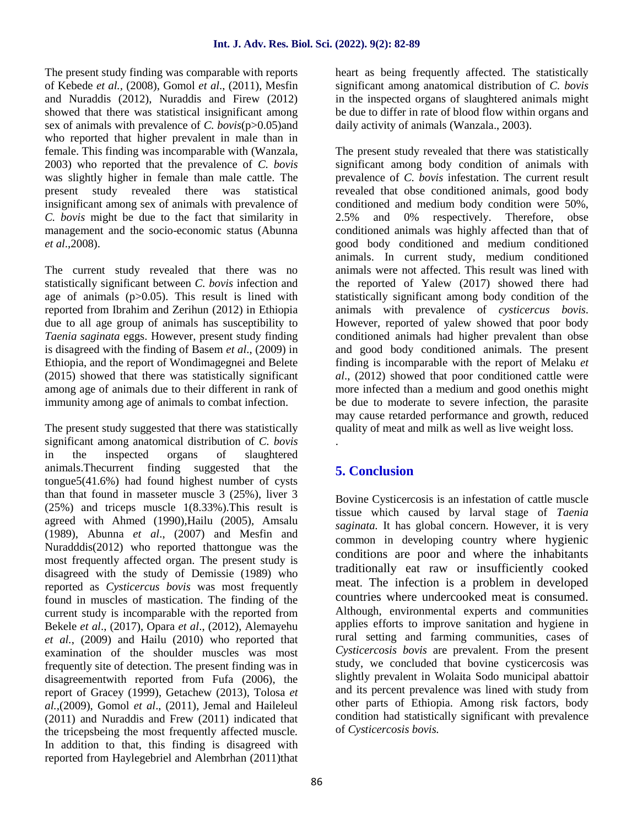The present study finding was comparable with reports of Kebede *et al.,* (2008), Gomol *et al*., (2011), Mesfin and Nuraddis (2012), Nuraddis and Firew (2012) showed that there was statistical insignificant among sex of animals with prevalence of *C. bovis*(p>0.05)and who reported that higher prevalent in male than in female. This finding was incomparable with (Wanzala, 2003) who reported that the prevalence of *C. bovis* was slightly higher in female than male cattle. The present study revealed there was statistical insignificant among sex of animals with prevalence of *C. bovis* might be due to the fact that similarity in management and the socio-economic status (Abunna *et al*.,2008).

The current study revealed that there was no statistically significant between *C. bovis* infection and age of animals (p>0.05). This result is lined with reported from Ibrahim and Zerihun (2012) in Ethiopia due to all age group of animals has susceptibility to *Taenia saginata* eggs. However, present study finding is disagreed with the finding of Basem *et al*., (2009) in Ethiopia, and the report of Wondimagegnei and Belete (2015) showed that there was statistically significant among age of animals due to their different in rank of immunity among age of animals to combat infection.

The present study suggested that there was statistically significant among anatomical distribution of*C. bovis* in the inspected organs of slaughtered animals.Thecurrent finding suggested that the tongue5(41.6%) had found highest number of cysts than that found in masseter muscle 3 (25%), liver 3 (25%) and triceps muscle 1(8.33%).This result is agreed with Ahmed (1990),Hailu (2005), Amsalu (1989), Abunna *et al*., (2007) and Mesfin and Nuradddis(2012) who reported thattongue was the most frequently affected organ. The present study is disagreed with the study of Demissie (1989) who reported as *Cysticercus bovis* was most frequently found in muscles of mastication. The finding of the current study is incomparable with the reported from Bekele *et al*., (2017), Opara *et al*., (2012), Alemayehu *et al.*, (2009) and Hailu (2010) who reported that examination of the shoulder muscles was most frequently site of detection. The present finding was in disagreementwith reported from Fufa (2006), the report of Gracey (1999), Getachew (2013), Tolosa *et al.,*(2009), Gomol *et al*., (2011), Jemal and Haileleul (2011) and Nuraddis and Frew (2011) indicated that the tricepsbeing the most frequently affected muscle*.* In addition to that, this finding is disagreed with reported from Haylegebriel and Alembrhan (2011)that

heart as being frequently affected. The statistically significant among anatomical distribution of *C. bovis* in the inspected organs of slaughtered animals might be due to differ in rate of blood flow within organs and daily activity of animals (Wanzala., 2003).

The present study revealed that there was statistically significant among body condition of animals with prevalence of *C. bovis* infestation. The current result revealed that obse conditioned animals, good body conditioned and medium body condition were 50%, and 0% respectively. Therefore, obse conditioned animals was highly affected than that of good body conditioned and medium conditioned animals. In current study, medium conditioned animals were not affected. This result was lined with the reported of Yalew (2017) showed there had statistically significant among body condition of the animals with prevalence of *cysticercus bovis*. However, reported of yalew showed that poor body conditioned animals had higher prevalent than obse and good body conditioned animals. The present finding is incomparable with the report of Melaku *et al*., (2012) showed that poor conditioned cattle were more infected than a medium and good onethis might be due to moderate to severe infection, the parasite may cause retarded performance and growth, reduced quality of meat and milk as well as live weight loss.

# **5. Conclusion**

.

Bovine Cysticercosis is an infestation of cattle muscle tissue which caused by larval stage of *Taenia saginata.* It has global concern. However, it is very common in developing country where hygienic conditions are poor and where the inhabitants traditionally eat raw or insufficiently cooked meat. The infection is a problem in developed countries where undercooked meat is consumed. Although, environmental experts and communities applies efforts to improve sanitation and hygiene in rural setting and farming communities, cases of *Cysticercosis bovis* are prevalent. From the present study, we concluded that bovine cysticercosis was slightly prevalent in Wolaita Sodo municipal abattoir and its percent prevalence was lined with study from other parts of Ethiopia. Among risk factors, body condition had statistically significant with prevalence of *Cysticercosis bovis.*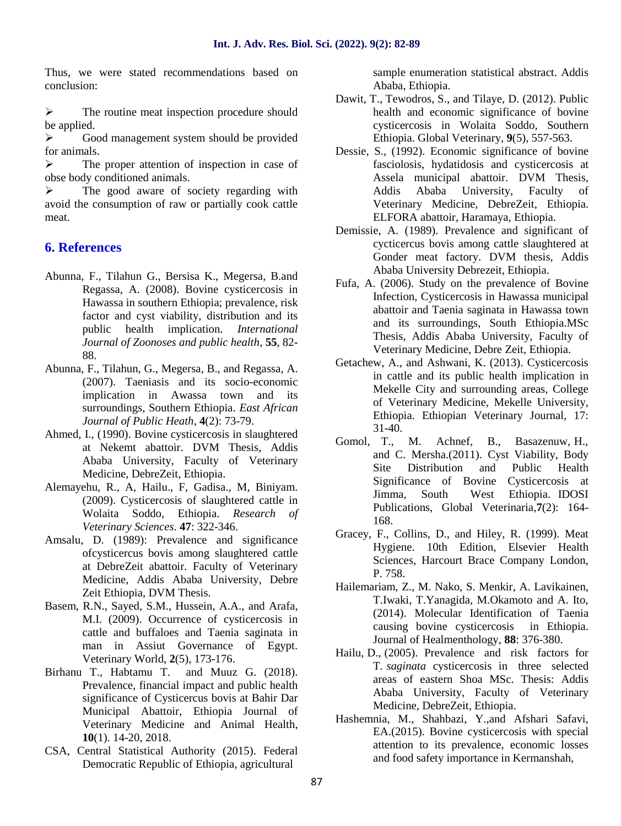Thus, we were stated recommendations based on conclusion:

 $\triangleright$  The routine meat inspection procedure should be applied.

 $\triangleright$  Good management system should be provided for animals.

 $\triangleright$  The proper attention of inspection in case of obse body conditioned animals.

 $\triangleright$  The good aware of society regarding with avoid the consumption of raw or partially cook cattle meat.

#### **6. References**

- Abunna, F., Tilahun G., Bersisa K., Megersa, B.and Regassa, A. (2008). Bovine cysticercosis in Hawassa in southern Ethiopia; prevalence, risk factor and cyst viability, distribution and its public health implication. *International Journal of Zoonoses and public health*, **55**, 82- 88.
- Abunna, F., Tilahun, G., Megersa, B., and Regassa, A. (2007). Taeniasis and its socio-economic implication in Awassa town and its surroundings, Southern Ethiopia. *East African Journal of Public Heath*, **4**(2): 73-79.
- Ahmed, I., (1990). Bovine cysticercosis in slaughtered  $\frac{51-40}{1}$ . M. at Nekemt abattoir. DVM Thesis, Addis Ababa University, Faculty of Veterinary Medicine, DebreZeit, Ethiopia.
- Alemayehu, R., A, Hailu., F, Gadisa., M, Biniyam. (2009). Cysticercosis of slaughtered cattle in Wolaita Soddo, Ethiopia. *Research of Veterinary Sciences*. **47**: 322-346.
- Amsalu, D. (1989): Prevalence and significance ofcysticercus bovis among slaughtered cattle at DebreZeit abattoir. Faculty of Veterinary Medicine, Addis Ababa University, Debre Zeit Ethiopia, DVM Thesis.
- Basem, R.N., Sayed, S.M., Hussein, A.A., and Arafa, M.I. (2009). Occurrence of cysticercosis in cattle and buffaloes and Taenia saginata in man in Assiut Governance of Egypt. Veterinary World, **2**(5), 173-176.
- Birhanu T., Habtamu T. and Muuz G. (2018). Prevalence, financial impact and public health significance of Cysticercus bovis at Bahir Dar Municipal Abattoir, Ethiopia Journal of Veterinary Medicine and Animal Health, **10**(1). 14-20, 2018.
- CSA, Central Statistical Authority (2015). Federal Democratic Republic of Ethiopia, agricultural

sample enumeration statistical abstract. Addis Ababa, Ethiopia.

- Dawit, T., Tewodros, S., and Tilaye, D. (2012). Public health and economic significance of bovine cysticercosis in Wolaita Soddo, Southern Ethiopia. Global Veterinary, **9**(5), 557-563.
- Dessie, S., (1992). Economic significance of bovine fasciolosis, hydatidosis and cysticercosis at Assela municipal abattoir. DVM Thesis, Addis Ababa University, Faculty of Veterinary Medicine, DebreZeit, Ethiopia. ELFORA abattoir, Haramaya, Ethiopia.
- Demissie, A. (1989). Prevalence and significant of cycticercus bovis among cattle slaughtered at Gonder meat factory. DVM thesis, Addis Ababa University Debrezeit, Ethiopia.
- Fufa, A. (2006). Study on the prevalence of Bovine Infection, Cysticercosis in Hawassa municipal abattoir and Taenia saginata in Hawassa town and its surroundings, South Ethiopia.MSc Thesis, Addis Ababa University, Faculty of Veterinary Medicine, Debre Zeit, Ethiopia.
- Getachew, A., and Ashwani, K. (2013). Cysticercosis in cattle and its public health implication in Mekelle City and surrounding areas, College of Veterinary Medicine, Mekelle University, Ethiopia. Ethiopian Veterinary Journal, 17: 31-40.
- Achnef, B., Basazenuw, H., and C. Mersha.(2011). Cyst Viability, Body Site Distribution and Public Health Significance of Bovine Cysticercosis at Jimma, South West Ethiopia. IDOSI Publications, Global Veterinaria,**7**(2): 164- 168.
- Gracey, F., Collins, D., and Hiley, R. (1999). Meat Hygiene. 10th Edition, Elsevier Health Sciences, Harcourt Brace Company London, P. 758.
- Hailemariam, Z., M. Nako, S. Menkir, A. Lavikainen, T.Iwaki, T.Yanagida, M.Okamoto and A. Ito, (2014). Molecular Identification of Taenia causing bovine cysticercosis in Ethiopia. Journal of Healmenthology, **88**: 376-380.
- Hailu, D., (2005). Prevalence and risk factors for T*. saginata* cysticercosis in three selected areas of eastern Shoa MSc. Thesis: Addis Ababa University, Faculty of Veterinary Medicine, DebreZeit, Ethiopia.
- Hashemnia, M., Shahbazi, Y.,and Afshari Safavi, EA.(2015). Bovine cysticercosis with special attention to its prevalence, economic losses and food safety importance in Kermanshah,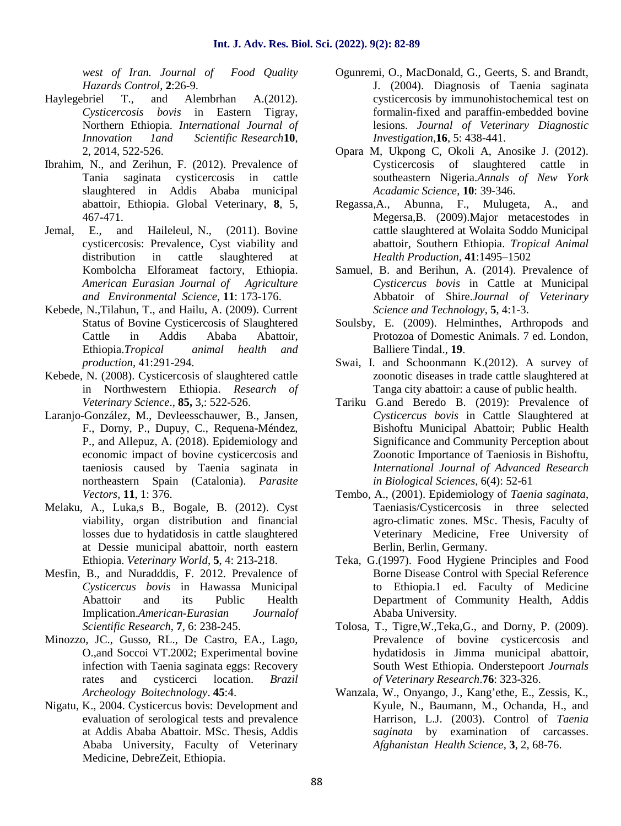*west of Iran. Journal of Food Quality Hazards Control*, **2**:26-9.

- Haylegebriel T., and Alembrhan A.(2012). *Cysticercosis bovis* in Eastern Tigray, Northern Ethiopia. *International Journal of Innovation 1and Scientific Research***10**, 2, 2014, 522-526.
- Ibrahim, N., and Zerihun, F. (2012). Prevalence of Tania saginata cysticercosis in cattle slaughtered in Addis Ababa municipal abattoir, Ethiopia. Global Veterinary, **8**, 5, 467-471.
- Jemal, E., and Haileleul, N., (2011). Bovine cysticercosis: Prevalence, Cyst viability and distribution in cattle slaughtered at Kombolcha Elforameat factory, Ethiopia. *American Eurasian Journal of Agriculture and Environmental Science,* **11**: 173-176.
- Kebede, N.,Tilahun, T., and Hailu, A. (2009). Current Status of Bovine Cysticercosis of Slaughtered Cattle in Addis Ababa Abattoir, Ethiopia.*Tropical animal health and production*, 41:291-294.
- Kebede, N. (2008). Cysticercosis of slaughtered cattle in Northwestern Ethiopia. *Research of Veterinary Science*., **85,** 3,: 522-526.
- Laranjo-González, M., Devleesschauwer, B., Jansen, F., Dorny, P., Dupuy, C., Requena-Méndez, P., and Allepuz, A. (2018). Epidemiology and economic impact of bovine cysticercosis and taeniosis caused by Taenia saginata in northeastern Spain (Catalonia). *Parasite Vectors*, **11**, 1: 376.
- Melaku, A., Luka,s B., Bogale, B. (2012). Cyst viability, organ distribution and financial losses due to hydatidosis in cattle slaughtered at Dessie municipal abattoir, north eastern Ethiopia. *Veterinary World*, **5**, 4: 213-218.
- Mesfin, B., and Nuradddis, F. 2012. Prevalence of *Cysticercus bovis* in Hawassa Municipal Abattoir and its Public Health Implication.*American-Eurasian Journalof Scientific Research*, **7**, 6: 238-245.
- Minozzo, JC., Gusso, RL., De Castro, EA., Lago, O.,and Soccoi VT.2002; Experimental bovine infection with Taenia saginata eggs: Recovery rates and cysticerci location. *Brazil Archeology Boitechnology*. **45**:4.
- Nigatu, K., 2004. Cysticercus bovis: Development and evaluation of serological tests and prevalence at Addis Ababa Abattoir. MSc. Thesis, Addis Ababa University, Faculty of Veterinary Medicine, DebreZeit, Ethiopia.
- Ogunremi, O., MacDonald, G., Geerts, S. and Brandt, J. (2004). Diagnosis of Taenia saginata cysticercosis by immunohistochemical test on formalin-fixed and paraffin-embedded bovine lesions. *Journal of Veterinary Diagnostic Investigation*,**16**, 5: 438-441.
- Opara M, Ukpong C, Okoli A, Anosike J. (2012). Cysticercosis of slaughtered cattle in southeastern Nigeria.*Annals of New York Acadamic Science*, **10**: 39-346.
- Regassa,A., Abunna, F., Mulugeta, A., and Megersa,B. (2009).Major metacestodes in cattle slaughtered at Wolaita Soddo Municipal abattoir, Southern Ethiopia. *Tropical Animal Health Production*, **41**:1495–1502
- Samuel, B. and Berihun, A. (2014). Prevalence of *Cysticercus bovis* in Cattle at Municipal Abbatoir of Shire.*Journal of Veterinary Science and Technology*, **5**, 4:1-3.
- Soulsby, E. (2009). Helminthes, Arthropods and Protozoa of Domestic Animals. 7 ed. London, Balliere Tindal., **19**.
- Swai, I. and Schoonmann K.(2012). A survey of zoonotic diseases in trade cattle slaughtered at Tanga city abattoir: a cause of public health.
- Tariku G.and Beredo B. (2019): Prevalence of *Cysticercus bovis* in Cattle Slaughtered at Bishoftu Municipal Abattoir; Public Health Significance and Community Perception about Zoonotic Importance of Taeniosis in Bishoftu, *International Journal of Advanced Research in Biological Sciences*, 6(4): 52-61
- Tembo, A., (2001). Epidemiology of *Taenia saginata*, Taeniasis/Cysticercosis in three selected agro-climatic zones. MSc. Thesis, Faculty of Veterinary Medicine, Free University of Berlin, Berlin, Germany.
- Teka, G.(1997). Food Hygiene Principles and Food Borne Disease Control with Special Reference to Ethiopia.1 ed. Faculty of Medicine Department of Community Health, Addis Ababa University.
- Tolosa, T., Tigre,W.,Teka,G., and Dorny, P. (2009). Prevalence of bovine cysticercosis and hydatidosis in Jimma municipal abattoir, South West Ethiopia. Onderstepoort *Journals of Veterinary Research*.**76**: 323-326.
- Wanzala, W., Onyango, J., Kang'ethe, E., Zessis, K., Kyule, N., Baumann, M., Ochanda, H., and Harrison, L.J. (2003). Control of *Taenia saginata* by examination of carcasses. *Afghanistan Health Science*, **3**, 2, 68-76.